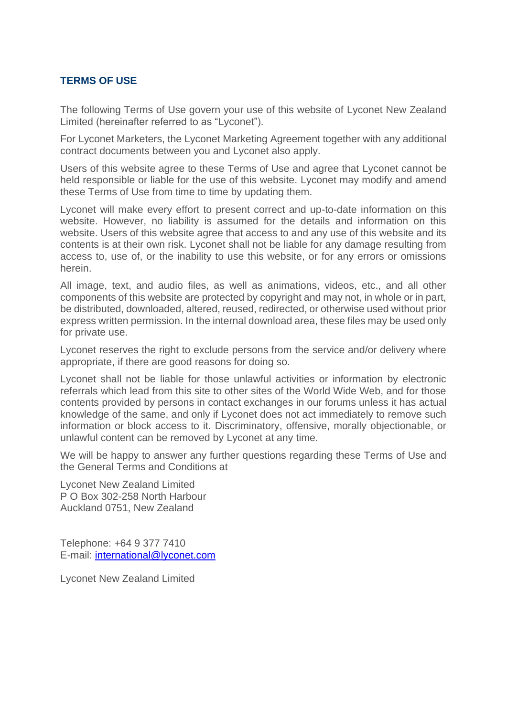## **TERMS OF USE**

The following Terms of Use govern your use of this website of Lyconet New Zealand Limited (hereinafter referred to as "Lyconet").

For Lyconet Marketers, the Lyconet Marketing Agreement together with any additional contract documents between you and Lyconet also apply.

Users of this website agree to these Terms of Use and agree that Lyconet cannot be held responsible or liable for the use of this website. Lyconet may modify and amend these Terms of Use from time to time by updating them.

Lyconet will make every effort to present correct and up-to-date information on this website. However, no liability is assumed for the details and information on this website. Users of this website agree that access to and any use of this website and its contents is at their own risk. Lyconet shall not be liable for any damage resulting from access to, use of, or the inability to use this website, or for any errors or omissions herein.

All image, text, and audio files, as well as animations, videos, etc., and all other components of this website are protected by copyright and may not, in whole or in part, be distributed, downloaded, altered, reused, redirected, or otherwise used without prior express written permission. In the internal download area, these files may be used only for private use.

Lyconet reserves the right to exclude persons from the service and/or delivery where appropriate, if there are good reasons for doing so.

Lyconet shall not be liable for those unlawful activities or information by electronic referrals which lead from this site to other sites of the World Wide Web, and for those contents provided by persons in contact exchanges in our forums unless it has actual knowledge of the same, and only if Lyconet does not act immediately to remove such information or block access to it. Discriminatory, offensive, morally objectionable, or unlawful content can be removed by Lyconet at any time.

We will be happy to answer any further questions regarding these Terms of Use and the General Terms and Conditions at

Lyconet New Zealand Limited P O Box 302-258 North Harbour Auckland 0751, New Zealand

Telephone: +64 9 377 7410 E-mail: [international@lyconet.com](mailto:international@lyconet.com)

Lyconet New Zealand Limited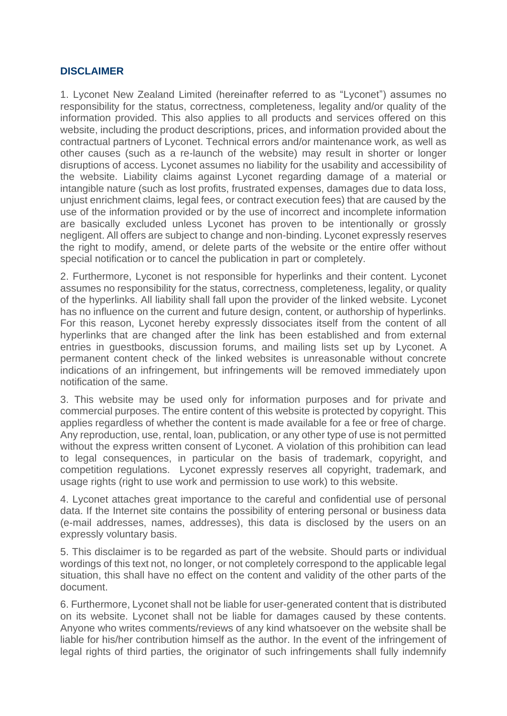## **DISCLAIMER**

1. Lyconet New Zealand Limited (hereinafter referred to as "Lyconet") assumes no responsibility for the status, correctness, completeness, legality and/or quality of the information provided. This also applies to all products and services offered on this website, including the product descriptions, prices, and information provided about the contractual partners of Lyconet. Technical errors and/or maintenance work, as well as other causes (such as a re-launch of the website) may result in shorter or longer disruptions of access. Lyconet assumes no liability for the usability and accessibility of the website. Liability claims against Lyconet regarding damage of a material or intangible nature (such as lost profits, frustrated expenses, damages due to data loss, unjust enrichment claims, legal fees, or contract execution fees) that are caused by the use of the information provided or by the use of incorrect and incomplete information are basically excluded unless Lyconet has proven to be intentionally or grossly negligent. All offers are subject to change and non-binding. Lyconet expressly reserves the right to modify, amend, or delete parts of the website or the entire offer without special notification or to cancel the publication in part or completely.

2. Furthermore, Lyconet is not responsible for hyperlinks and their content. Lyconet assumes no responsibility for the status, correctness, completeness, legality, or quality of the hyperlinks. All liability shall fall upon the provider of the linked website. Lyconet has no influence on the current and future design, content, or authorship of hyperlinks. For this reason, Lyconet hereby expressly dissociates itself from the content of all hyperlinks that are changed after the link has been established and from external entries in guestbooks, discussion forums, and mailing lists set up by Lyconet. A permanent content check of the linked websites is unreasonable without concrete indications of an infringement, but infringements will be removed immediately upon notification of the same.

3. This website may be used only for information purposes and for private and commercial purposes. The entire content of this website is protected by copyright. This applies regardless of whether the content is made available for a fee or free of charge. Any reproduction, use, rental, loan, publication, or any other type of use is not permitted without the express written consent of Lyconet. A violation of this prohibition can lead to legal consequences, in particular on the basis of trademark, copyright, and competition regulations. Lyconet expressly reserves all copyright, trademark, and usage rights (right to use work and permission to use work) to this website.

4. Lyconet attaches great importance to the careful and confidential use of personal data. If the Internet site contains the possibility of entering personal or business data (e-mail addresses, names, addresses), this data is disclosed by the users on an expressly voluntary basis.

5. This disclaimer is to be regarded as part of the website. Should parts or individual wordings of this text not, no longer, or not completely correspond to the applicable legal situation, this shall have no effect on the content and validity of the other parts of the document.

6. Furthermore, Lyconet shall not be liable for user-generated content that is distributed on its website. Lyconet shall not be liable for damages caused by these contents. Anyone who writes comments/reviews of any kind whatsoever on the website shall be liable for his/her contribution himself as the author. In the event of the infringement of legal rights of third parties, the originator of such infringements shall fully indemnify